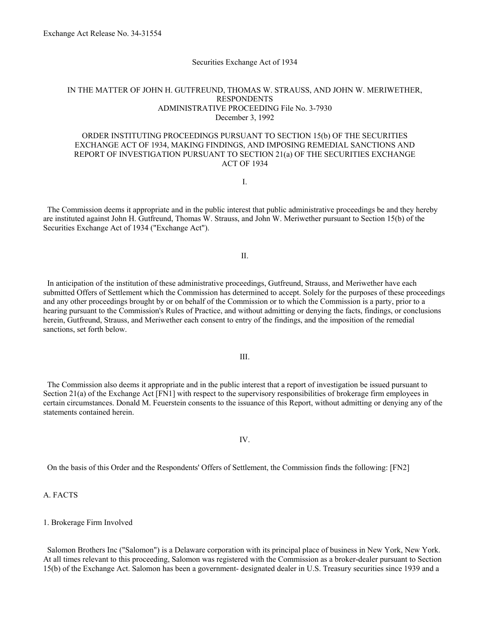#### Securities Exchange Act of 1934

#### IN THE MATTER OF JOHN H. GUTFREUND, THOMAS W. STRAUSS, AND JOHN W. MERIWETHER, RESPONDENTS ADMINISTRATIVE PROCEEDING File No. 3-7930 December 3, 1992

#### ORDER INSTITUTING PROCEEDINGS PURSUANT TO SECTION 15(b) OF THE SECURITIES EXCHANGE ACT OF 1934, MAKING FINDINGS, AND IMPOSING REMEDIAL SANCTIONS AND REPORT OF INVESTIGATION PURSUANT TO SECTION 21(a) OF THE SECURITIES EXCHANGE ACT OF 1934

I.

The Commission deems it appropriate and in the public interest that public administrative proceedings be and they hereby are instituted against John H. Gutfreund, Thomas W. Strauss, and John W. Meriwether pursuant to Section 15(b) of the Securities Exchange Act of 1934 ("Exchange Act").

II.

In anticipation of the institution of these administrative proceedings, Gutfreund, Strauss, and Meriwether have each submitted Offers of Settlement which the Commission has determined to accept. Solely for the purposes of these proceedings and any other proceedings brought by or on behalf of the Commission or to which the Commission is a party, prior to a hearing pursuant to the Commission's Rules of Practice, and without admitting or denying the facts, findings, or conclusions herein, Gutfreund, Strauss, and Meriwether each consent to entry of the findings, and the imposition of the remedial sanctions, set forth below.

#### III.

The Commission also deems it appropriate and in the public interest that a report of investigation be issued pursuant to Section 21(a) of the Exchange Act [FN1] with respect to the supervisory responsibilities of brokerage firm employees in certain circumstances. Donald M. Feuerstein consents to the issuance of this Report, without admitting or denying any of the statements contained herein.

IV.

On the basis of this Order and the Respondents' Offers of Settlement, the Commission finds the following: [FN2]

A. FACTS

1. Brokerage Firm Involved

Salomon Brothers Inc ("Salomon") is a Delaware corporation with its principal place of business in New York, New York. At all times relevant to this proceeding, Salomon was registered with the Commission as a broker-dealer pursuant to Section 15(b) of the Exchange Act. Salomon has been a government- designated dealer in U.S. Treasury securities since 1939 and a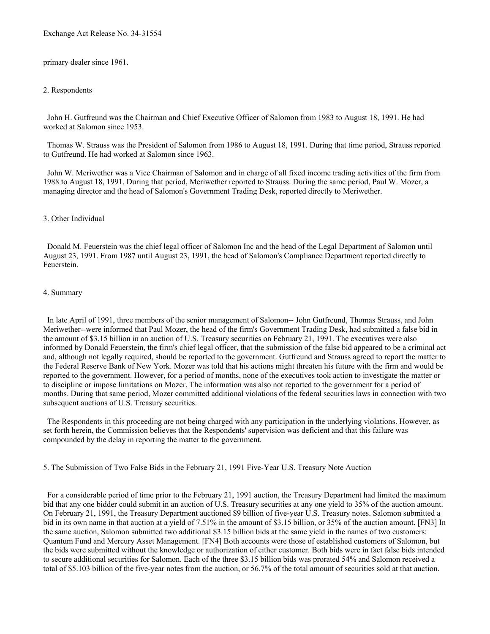primary dealer since 1961.

# 2. Respondents

John H. Gutfreund was the Chairman and Chief Executive Officer of Salomon from 1983 to August 18, 1991. He had worked at Salomon since 1953.

Thomas W. Strauss was the President of Salomon from 1986 to August 18, 1991. During that time period, Strauss reported to Gutfreund. He had worked at Salomon since 1963.

John W. Meriwether was a Vice Chairman of Salomon and in charge of all fixed income trading activities of the firm from 1988 to August 18, 1991. During that period, Meriwether reported to Strauss. During the same period, Paul W. Mozer, a managing director and the head of Salomon's Government Trading Desk, reported directly to Meriwether.

# 3. Other Individual

Donald M. Feuerstein was the chief legal officer of Salomon Inc and the head of the Legal Department of Salomon until August 23, 1991. From 1987 until August 23, 1991, the head of Salomon's Compliance Department reported directly to Feuerstein.

# 4. Summary

In late April of 1991, three members of the senior management of Salomon-- John Gutfreund, Thomas Strauss, and John Meriwether--were informed that Paul Mozer, the head of the firm's Government Trading Desk, had submitted a false bid in the amount of \$3.15 billion in an auction of U.S. Treasury securities on February 21, 1991. The executives were also informed by Donald Feuerstein, the firm's chief legal officer, that the submission of the false bid appeared to be a criminal act and, although not legally required, should be reported to the government. Gutfreund and Strauss agreed to report the matter to the Federal Reserve Bank of New York. Mozer was told that his actions might threaten his future with the firm and would be reported to the government. However, for a period of months, none of the executives took action to investigate the matter or to discipline or impose limitations on Mozer. The information was also not reported to the government for a period of months. During that same period, Mozer committed additional violations of the federal securities laws in connection with two subsequent auctions of U.S. Treasury securities.

The Respondents in this proceeding are not being charged with any participation in the underlying violations. However, as set forth herein, the Commission believes that the Respondents' supervision was deficient and that this failure was compounded by the delay in reporting the matter to the government.

5. The Submission of Two False Bids in the February 21, 1991 Five-Year U.S. Treasury Note Auction

For a considerable period of time prior to the February 21, 1991 auction, the Treasury Department had limited the maximum bid that any one bidder could submit in an auction of U.S. Treasury securities at any one yield to 35% of the auction amount. On February 21, 1991, the Treasury Department auctioned \$9 billion of five-year U.S. Treasury notes. Salomon submitted a bid in its own name in that auction at a yield of 7.51% in the amount of \$3.15 billion, or 35% of the auction amount. [FN3] In the same auction, Salomon submitted two additional \$3.15 billion bids at the same yield in the names of two customers: Quantum Fund and Mercury Asset Management. [FN4] Both accounts were those of established customers of Salomon, but the bids were submitted without the knowledge or authorization of either customer. Both bids were in fact false bids intended to secure additional securities for Salomon. Each of the three \$3.15 billion bids was prorated 54% and Salomon received a total of \$5.103 billion of the five-year notes from the auction, or 56.7% of the total amount of securities sold at that auction.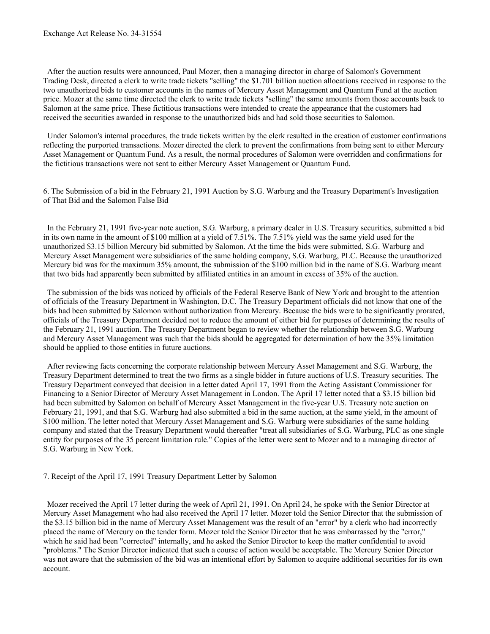After the auction results were announced, Paul Mozer, then a managing director in charge of Salomon's Government Trading Desk, directed a clerk to write trade tickets "selling" the \$1.701 billion auction allocations received in response to the two unauthorized bids to customer accounts in the names of Mercury Asset Management and Quantum Fund at the auction price. Mozer at the same time directed the clerk to write trade tickets "selling" the same amounts from those accounts back to Salomon at the same price. These fictitious transactions were intended to create the appearance that the customers had received the securities awarded in response to the unauthorized bids and had sold those securities to Salomon.

Under Salomon's internal procedures, the trade tickets written by the clerk resulted in the creation of customer confirmations reflecting the purported transactions. Mozer directed the clerk to prevent the confirmations from being sent to either Mercury Asset Management or Quantum Fund. As a result, the normal procedures of Salomon were overridden and confirmations for the fictitious transactions were not sent to either Mercury Asset Management or Quantum Fund.

6. The Submission of a bid in the February 21, 1991 Auction by S.G. Warburg and the Treasury Department's Investigation of That Bid and the Salomon False Bid

In the February 21, 1991 five-year note auction, S.G. Warburg, a primary dealer in U.S. Treasury securities, submitted a bid in its own name in the amount of \$100 million at a yield of 7.51%. The 7.51% yield was the same yield used for the unauthorized \$3.15 billion Mercury bid submitted by Salomon. At the time the bids were submitted, S.G. Warburg and Mercury Asset Management were subsidiaries of the same holding company, S.G. Warburg, PLC. Because the unauthorized Mercury bid was for the maximum 35% amount, the submission of the \$100 million bid in the name of S.G. Warburg meant that two bids had apparently been submitted by affiliated entities in an amount in excess of 35% of the auction.

The submission of the bids was noticed by officials of the Federal Reserve Bank of New York and brought to the attention of officials of the Treasury Department in Washington, D.C. The Treasury Department officials did not know that one of the bids had been submitted by Salomon without authorization from Mercury. Because the bids were to be significantly prorated, officials of the Treasury Department decided not to reduce the amount of either bid for purposes of determining the results of the February 21, 1991 auction. The Treasury Department began to review whether the relationship between S.G. Warburg and Mercury Asset Management was such that the bids should be aggregated for determination of how the 35% limitation should be applied to those entities in future auctions.

After reviewing facts concerning the corporate relationship between Mercury Asset Management and S.G. Warburg, the Treasury Department determined to treat the two firms as a single bidder in future auctions of U.S. Treasury securities. The Treasury Department conveyed that decision in a letter dated April 17, 1991 from the Acting Assistant Commissioner for Financing to a Senior Director of Mercury Asset Management in London. The April 17 letter noted that a \$3.15 billion bid had been submitted by Salomon on behalf of Mercury Asset Management in the five-year U.S. Treasury note auction on February 21, 1991, and that S.G. Warburg had also submitted a bid in the same auction, at the same yield, in the amount of \$100 million. The letter noted that Mercury Asset Management and S.G. Warburg were subsidiaries of the same holding company and stated that the Treasury Department would thereafter "treat all subsidiaries of S.G. Warburg, PLC as one single entity for purposes of the 35 percent limitation rule." Copies of the letter were sent to Mozer and to a managing director of S.G. Warburg in New York.

7. Receipt of the April 17, 1991 Treasury Department Letter by Salomon

Mozer received the April 17 letter during the week of April 21, 1991. On April 24, he spoke with the Senior Director at Mercury Asset Management who had also received the April 17 letter. Mozer told the Senior Director that the submission of the \$3.15 billion bid in the name of Mercury Asset Management was the result of an "error" by a clerk who had incorrectly placed the name of Mercury on the tender form. Mozer told the Senior Director that he was embarrassed by the "error," which he said had been "corrected" internally, and he asked the Senior Director to keep the matter confidential to avoid "problems." The Senior Director indicated that such a course of action would be acceptable. The Mercury Senior Director was not aware that the submission of the bid was an intentional effort by Salomon to acquire additional securities for its own account.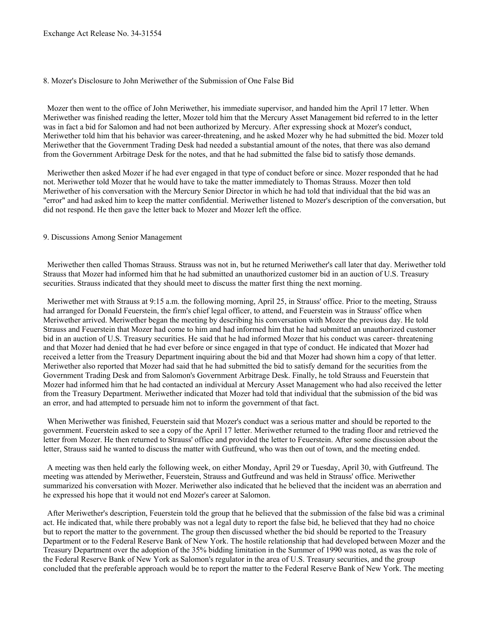#### 8. Mozer's Disclosure to John Meriwether of the Submission of One False Bid

Mozer then went to the office of John Meriwether, his immediate supervisor, and handed him the April 17 letter. When Meriwether was finished reading the letter, Mozer told him that the Mercury Asset Management bid referred to in the letter was in fact a bid for Salomon and had not been authorized by Mercury. After expressing shock at Mozer's conduct, Meriwether told him that his behavior was career-threatening, and he asked Mozer why he had submitted the bid. Mozer told Meriwether that the Government Trading Desk had needed a substantial amount of the notes, that there was also demand from the Government Arbitrage Desk for the notes, and that he had submitted the false bid to satisfy those demands.

Meriwether then asked Mozer if he had ever engaged in that type of conduct before or since. Mozer responded that he had not. Meriwether told Mozer that he would have to take the matter immediately to Thomas Strauss. Mozer then told Meriwether of his conversation with the Mercury Senior Director in which he had told that individual that the bid was an "error" and had asked him to keep the matter confidential. Meriwether listened to Mozer's description of the conversation, but did not respond. He then gave the letter back to Mozer and Mozer left the office.

#### 9. Discussions Among Senior Management

Meriwether then called Thomas Strauss. Strauss was not in, but he returned Meriwether's call later that day. Meriwether told Strauss that Mozer had informed him that he had submitted an unauthorized customer bid in an auction of U.S. Treasury securities. Strauss indicated that they should meet to discuss the matter first thing the next morning.

Meriwether met with Strauss at 9:15 a.m. the following morning, April 25, in Strauss' office. Prior to the meeting, Strauss had arranged for Donald Feuerstein, the firm's chief legal officer, to attend, and Feuerstein was in Strauss' office when Meriwether arrived. Meriwether began the meeting by describing his conversation with Mozer the previous day. He told Strauss and Feuerstein that Mozer had come to him and had informed him that he had submitted an unauthorized customer bid in an auction of U.S. Treasury securities. He said that he had informed Mozer that his conduct was career- threatening and that Mozer had denied that he had ever before or since engaged in that type of conduct. He indicated that Mozer had received a letter from the Treasury Department inquiring about the bid and that Mozer had shown him a copy of that letter. Meriwether also reported that Mozer had said that he had submitted the bid to satisfy demand for the securities from the Government Trading Desk and from Salomon's Government Arbitrage Desk. Finally, he told Strauss and Feuerstein that Mozer had informed him that he had contacted an individual at Mercury Asset Management who had also received the letter from the Treasury Department. Meriwether indicated that Mozer had told that individual that the submission of the bid was an error, and had attempted to persuade him not to inform the government of that fact.

When Meriwether was finished, Feuerstein said that Mozer's conduct was a serious matter and should be reported to the government. Feuerstein asked to see a copy of the April 17 letter. Meriwether returned to the trading floor and retrieved the letter from Mozer. He then returned to Strauss' office and provided the letter to Feuerstein. After some discussion about the letter, Strauss said he wanted to discuss the matter with Gutfreund, who was then out of town, and the meeting ended.

A meeting was then held early the following week, on either Monday, April 29 or Tuesday, April 30, with Gutfreund. The meeting was attended by Meriwether, Feuerstein, Strauss and Gutfreund and was held in Strauss' office. Meriwether summarized his conversation with Mozer. Meriwether also indicated that he believed that the incident was an aberration and he expressed his hope that it would not end Mozer's career at Salomon.

After Meriwether's description, Feuerstein told the group that he believed that the submission of the false bid was a criminal act. He indicated that, while there probably was not a legal duty to report the false bid, he believed that they had no choice but to report the matter to the government. The group then discussed whether the bid should be reported to the Treasury Department or to the Federal Reserve Bank of New York. The hostile relationship that had developed between Mozer and the Treasury Department over the adoption of the 35% bidding limitation in the Summer of 1990 was noted, as was the role of the Federal Reserve Bank of New York as Salomon's regulator in the area of U.S. Treasury securities, and the group concluded that the preferable approach would be to report the matter to the Federal Reserve Bank of New York. The meeting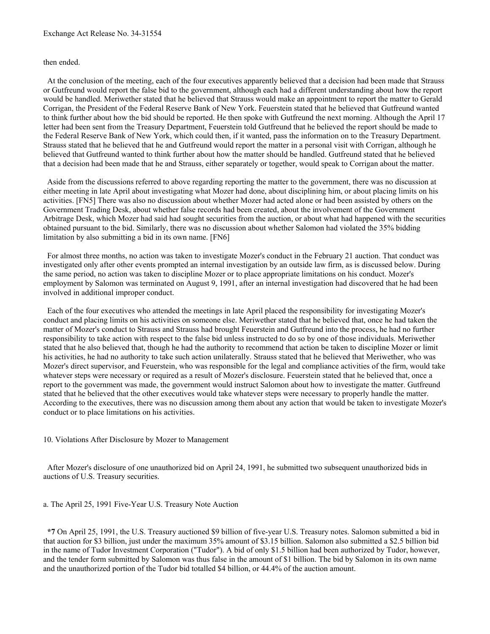#### then ended.

At the conclusion of the meeting, each of the four executives apparently believed that a decision had been made that Strauss or Gutfreund would report the false bid to the government, although each had a different understanding about how the report would be handled. Meriwether stated that he believed that Strauss would make an appointment to report the matter to Gerald Corrigan, the President of the Federal Reserve Bank of New York. Feuerstein stated that he believed that Gutfreund wanted to think further about how the bid should be reported. He then spoke with Gutfreund the next morning. Although the April 17 letter had been sent from the Treasury Department, Feuerstein told Gutfreund that he believed the report should be made to the Federal Reserve Bank of New York, which could then, if it wanted, pass the information on to the Treasury Department. Strauss stated that he believed that he and Gutfreund would report the matter in a personal visit with Corrigan, although he believed that Gutfreund wanted to think further about how the matter should be handled. Gutfreund stated that he believed that a decision had been made that he and Strauss, either separately or together, would speak to Corrigan about the matter.

Aside from the discussions referred to above regarding reporting the matter to the government, there was no discussion at either meeting in late April about investigating what Mozer had done, about disciplining him, or about placing limits on his activities. [FN5] There was also no discussion about whether Mozer had acted alone or had been assisted by others on the Government Trading Desk, about whether false records had been created, about the involvement of the Government Arbitrage Desk, which Mozer had said had sought securities from the auction, or about what had happened with the securities obtained pursuant to the bid. Similarly, there was no discussion about whether Salomon had violated the 35% bidding limitation by also submitting a bid in its own name. [FN6]

For almost three months, no action was taken to investigate Mozer's conduct in the February 21 auction. That conduct was investigated only after other events prompted an internal investigation by an outside law firm, as is discussed below. During the same period, no action was taken to discipline Mozer or to place appropriate limitations on his conduct. Mozer's employment by Salomon was terminated on August 9, 1991, after an internal investigation had discovered that he had been involved in additional improper conduct.

Each of the four executives who attended the meetings in late April placed the responsibility for investigating Mozer's conduct and placing limits on his activities on someone else. Meriwether stated that he believed that, once he had taken the matter of Mozer's conduct to Strauss and Strauss had brought Feuerstein and Gutfreund into the process, he had no further responsibility to take action with respect to the false bid unless instructed to do so by one of those individuals. Meriwether stated that he also believed that, though he had the authority to recommend that action be taken to discipline Mozer or limit his activities, he had no authority to take such action unilaterally. Strauss stated that he believed that Meriwether, who was Mozer's direct supervisor, and Feuerstein, who was responsible for the legal and compliance activities of the firm, would take whatever steps were necessary or required as a result of Mozer's disclosure. Feuerstein stated that he believed that, once a report to the government was made, the government would instruct Salomon about how to investigate the matter. Gutfreund stated that he believed that the other executives would take whatever steps were necessary to properly handle the matter. According to the executives, there was no discussion among them about any action that would be taken to investigate Mozer's conduct or to place limitations on his activities.

# 10. Violations After Disclosure by Mozer to Management

After Mozer's disclosure of one unauthorized bid on April 24, 1991, he submitted two subsequent unauthorized bids in auctions of U.S. Treasury securities.

# a. The April 25, 1991 Five-Year U.S. Treasury Note Auction

**\*7** On April 25, 1991, the U.S. Treasury auctioned \$9 billion of five-year U.S. Treasury notes. Salomon submitted a bid in that auction for \$3 billion, just under the maximum 35% amount of \$3.15 billion. Salomon also submitted a \$2.5 billion bid in the name of Tudor Investment Corporation ("Tudor"). A bid of only \$1.5 billion had been authorized by Tudor, however, and the tender form submitted by Salomon was thus false in the amount of \$1 billion. The bid by Salomon in its own name and the unauthorized portion of the Tudor bid totalled \$4 billion, or 44.4% of the auction amount.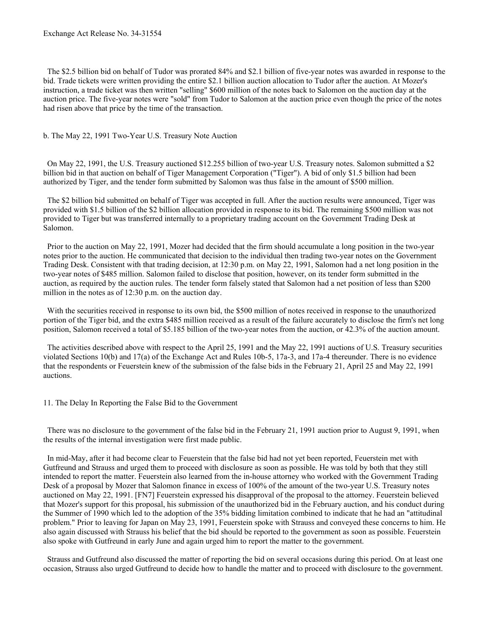The \$2.5 billion bid on behalf of Tudor was prorated 84% and \$2.1 billion of five-year notes was awarded in response to the bid. Trade tickets were written providing the entire \$2.1 billion auction allocation to Tudor after the auction. At Mozer's instruction, a trade ticket was then written "selling" \$600 million of the notes back to Salomon on the auction day at the auction price. The five-year notes were "sold" from Tudor to Salomon at the auction price even though the price of the notes had risen above that price by the time of the transaction.

b. The May 22, 1991 Two-Year U.S. Treasury Note Auction

On May 22, 1991, the U.S. Treasury auctioned \$12.255 billion of two-year U.S. Treasury notes. Salomon submitted a \$2 billion bid in that auction on behalf of Tiger Management Corporation ("Tiger"). A bid of only \$1.5 billion had been authorized by Tiger, and the tender form submitted by Salomon was thus false in the amount of \$500 million.

The \$2 billion bid submitted on behalf of Tiger was accepted in full. After the auction results were announced, Tiger was provided with \$1.5 billion of the \$2 billion allocation provided in response to its bid. The remaining \$500 million was not provided to Tiger but was transferred internally to a proprietary trading account on the Government Trading Desk at Salomon.

Prior to the auction on May 22, 1991, Mozer had decided that the firm should accumulate a long position in the two-year notes prior to the auction. He communicated that decision to the individual then trading two-year notes on the Government Trading Desk. Consistent with that trading decision, at 12:30 p.m. on May 22, 1991, Salomon had a net long position in the two-year notes of \$485 million. Salomon failed to disclose that position, however, on its tender form submitted in the auction, as required by the auction rules. The tender form falsely stated that Salomon had a net position of less than \$200 million in the notes as of 12:30 p.m. on the auction day.

With the securities received in response to its own bid, the \$500 million of notes received in response to the unauthorized portion of the Tiger bid, and the extra \$485 million received as a result of the failure accurately to disclose the firm's net long position, Salomon received a total of \$5.185 billion of the two-year notes from the auction, or 42.3% of the auction amount.

The activities described above with respect to the April 25, 1991 and the May 22, 1991 auctions of U.S. Treasury securities violated Sections 10(b) and 17(a) of the Exchange Act and Rules 10b-5, 17a-3, and 17a-4 thereunder. There is no evidence that the respondents or Feuerstein knew of the submission of the false bids in the February 21, April 25 and May 22, 1991 auctions.

11. The Delay In Reporting the False Bid to the Government

There was no disclosure to the government of the false bid in the February 21, 1991 auction prior to August 9, 1991, when the results of the internal investigation were first made public.

In mid-May, after it had become clear to Feuerstein that the false bid had not yet been reported, Feuerstein met with Gutfreund and Strauss and urged them to proceed with disclosure as soon as possible. He was told by both that they still intended to report the matter. Feuerstein also learned from the in-house attorney who worked with the Government Trading Desk of a proposal by Mozer that Salomon finance in excess of 100% of the amount of the two-year U.S. Treasury notes auctioned on May 22, 1991. [FN7] Feuerstein expressed his disapproval of the proposal to the attorney. Feuerstein believed that Mozer's support for this proposal, his submission of the unauthorized bid in the February auction, and his conduct during the Summer of 1990 which led to the adoption of the 35% bidding limitation combined to indicate that he had an "attitudinal problem." Prior to leaving for Japan on May 23, 1991, Feuerstein spoke with Strauss and conveyed these concerns to him. He also again discussed with Strauss his belief that the bid should be reported to the government as soon as possible. Feuerstein also spoke with Gutfreund in early June and again urged him to report the matter to the government.

Strauss and Gutfreund also discussed the matter of reporting the bid on several occasions during this period. On at least one occasion, Strauss also urged Gutfreund to decide how to handle the matter and to proceed with disclosure to the government.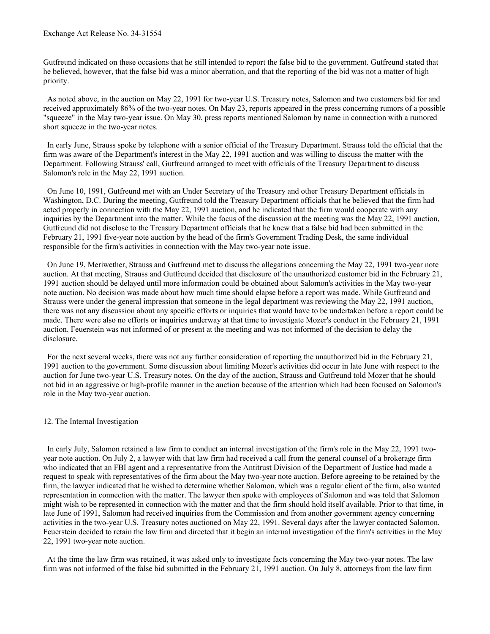Gutfreund indicated on these occasions that he still intended to report the false bid to the government. Gutfreund stated that he believed, however, that the false bid was a minor aberration, and that the reporting of the bid was not a matter of high priority.

As noted above, in the auction on May 22, 1991 for two-year U.S. Treasury notes, Salomon and two customers bid for and received approximately 86% of the two-year notes. On May 23, reports appeared in the press concerning rumors of a possible "squeeze" in the May two-year issue. On May 30, press reports mentioned Salomon by name in connection with a rumored short squeeze in the two-year notes.

In early June, Strauss spoke by telephone with a senior official of the Treasury Department. Strauss told the official that the firm was aware of the Department's interest in the May 22, 1991 auction and was willing to discuss the matter with the Department. Following Strauss' call, Gutfreund arranged to meet with officials of the Treasury Department to discuss Salomon's role in the May 22, 1991 auction.

On June 10, 1991, Gutfreund met with an Under Secretary of the Treasury and other Treasury Department officials in Washington, D.C. During the meeting, Gutfreund told the Treasury Department officials that he believed that the firm had acted properly in connection with the May 22, 1991 auction, and he indicated that the firm would cooperate with any inquiries by the Department into the matter. While the focus of the discussion at the meeting was the May 22, 1991 auction, Gutfreund did not disclose to the Treasury Department officials that he knew that a false bid had been submitted in the February 21, 1991 five-year note auction by the head of the firm's Government Trading Desk, the same individual responsible for the firm's activities in connection with the May two-year note issue.

On June 19, Meriwether, Strauss and Gutfreund met to discuss the allegations concerning the May 22, 1991 two-year note auction. At that meeting, Strauss and Gutfreund decided that disclosure of the unauthorized customer bid in the February 21, 1991 auction should be delayed until more information could be obtained about Salomon's activities in the May two-year note auction. No decision was made about how much time should elapse before a report was made. While Gutfreund and Strauss were under the general impression that someone in the legal department was reviewing the May 22, 1991 auction, there was not any discussion about any specific efforts or inquiries that would have to be undertaken before a report could be made. There were also no efforts or inquiries underway at that time to investigate Mozer's conduct in the February 21, 1991 auction. Feuerstein was not informed of or present at the meeting and was not informed of the decision to delay the disclosure.

For the next several weeks, there was not any further consideration of reporting the unauthorized bid in the February 21, 1991 auction to the government. Some discussion about limiting Mozer's activities did occur in late June with respect to the auction for June two-year U.S. Treasury notes. On the day of the auction, Strauss and Gutfreund told Mozer that he should not bid in an aggressive or high-profile manner in the auction because of the attention which had been focused on Salomon's role in the May two-year auction.

# 12. The Internal Investigation

In early July, Salomon retained a law firm to conduct an internal investigation of the firm's role in the May 22, 1991 twoyear note auction. On July 2, a lawyer with that law firm had received a call from the general counsel of a brokerage firm who indicated that an FBI agent and a representative from the Antitrust Division of the Department of Justice had made a request to speak with representatives of the firm about the May two-year note auction. Before agreeing to be retained by the firm, the lawyer indicated that he wished to determine whether Salomon, which was a regular client of the firm, also wanted representation in connection with the matter. The lawyer then spoke with employees of Salomon and was told that Salomon might wish to be represented in connection with the matter and that the firm should hold itself available. Prior to that time, in late June of 1991, Salomon had received inquiries from the Commission and from another government agency concerning activities in the two-year U.S. Treasury notes auctioned on May 22, 1991. Several days after the lawyer contacted Salomon, Feuerstein decided to retain the law firm and directed that it begin an internal investigation of the firm's activities in the May 22, 1991 two-year note auction.

At the time the law firm was retained, it was asked only to investigate facts concerning the May two-year notes. The law firm was not informed of the false bid submitted in the February 21, 1991 auction. On July 8, attorneys from the law firm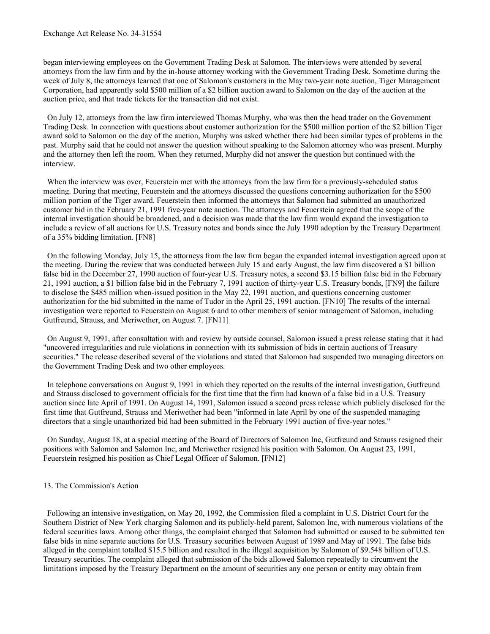began interviewing employees on the Government Trading Desk at Salomon. The interviews were attended by several attorneys from the law firm and by the in-house attorney working with the Government Trading Desk. Sometime during the week of July 8, the attorneys learned that one of Salomon's customers in the May two-year note auction, Tiger Management Corporation, had apparently sold \$500 million of a \$2 billion auction award to Salomon on the day of the auction at the auction price, and that trade tickets for the transaction did not exist.

On July 12, attorneys from the law firm interviewed Thomas Murphy, who was then the head trader on the Government Trading Desk. In connection with questions about customer authorization for the \$500 million portion of the \$2 billion Tiger award sold to Salomon on the day of the auction, Murphy was asked whether there had been similar types of problems in the past. Murphy said that he could not answer the question without speaking to the Salomon attorney who was present. Murphy and the attorney then left the room. When they returned, Murphy did not answer the question but continued with the interview.

When the interview was over, Feuerstein met with the attorneys from the law firm for a previously-scheduled status meeting. During that meeting, Feuerstein and the attorneys discussed the questions concerning authorization for the \$500 million portion of the Tiger award. Feuerstein then informed the attorneys that Salomon had submitted an unauthorized customer bid in the February 21, 1991 five-year note auction. The attorneys and Feuerstein agreed that the scope of the internal investigation should be broadened, and a decision was made that the law firm would expand the investigation to include a review of all auctions for U.S. Treasury notes and bonds since the July 1990 adoption by the Treasury Department of a 35% bidding limitation. [FN8]

On the following Monday, July 15, the attorneys from the law firm began the expanded internal investigation agreed upon at the meeting. During the review that was conducted between July 15 and early August, the law firm discovered a \$1 billion false bid in the December 27, 1990 auction of four-year U.S. Treasury notes, a second \$3.15 billion false bid in the February 21, 1991 auction, a \$1 billion false bid in the February 7, 1991 auction of thirty-year U.S. Treasury bonds, [FN9] the failure to disclose the \$485 million when-issued position in the May 22, 1991 auction, and questions concerning customer authorization for the bid submitted in the name of Tudor in the April 25, 1991 auction. [FN10] The results of the internal investigation were reported to Feuerstein on August 6 and to other members of senior management of Salomon, including Gutfreund, Strauss, and Meriwether, on August 7. [FN11]

On August 9, 1991, after consultation with and review by outside counsel, Salomon issued a press release stating that it had "uncovered irregularities and rule violations in connection with its submission of bids in certain auctions of Treasury securities." The release described several of the violations and stated that Salomon had suspended two managing directors on the Government Trading Desk and two other employees.

In telephone conversations on August 9, 1991 in which they reported on the results of the internal investigation, Gutfreund and Strauss disclosed to government officials for the first time that the firm had known of a false bid in a U.S. Treasury auction since late April of 1991. On August 14, 1991, Salomon issued a second press release which publicly disclosed for the first time that Gutfreund, Strauss and Meriwether had been "informed in late April by one of the suspended managing directors that a single unauthorized bid had been submitted in the February 1991 auction of five-year notes."

On Sunday, August 18, at a special meeting of the Board of Directors of Salomon Inc, Gutfreund and Strauss resigned their positions with Salomon and Salomon Inc, and Meriwether resigned his position with Salomon. On August 23, 1991, Feuerstein resigned his position as Chief Legal Officer of Salomon. [FN12]

# 13. The Commission's Action

Following an intensive investigation, on May 20, 1992, the Commission filed a complaint in U.S. District Court for the Southern District of New York charging Salomon and its publicly-held parent, Salomon Inc, with numerous violations of the federal securities laws. Among other things, the complaint charged that Salomon had submitted or caused to be submitted ten false bids in nine separate auctions for U.S. Treasury securities between August of 1989 and May of 1991. The false bids alleged in the complaint totalled \$15.5 billion and resulted in the illegal acquisition by Salomon of \$9.548 billion of U.S. Treasury securities. The complaint alleged that submission of the bids allowed Salomon repeatedly to circumvent the limitations imposed by the Treasury Department on the amount of securities any one person or entity may obtain from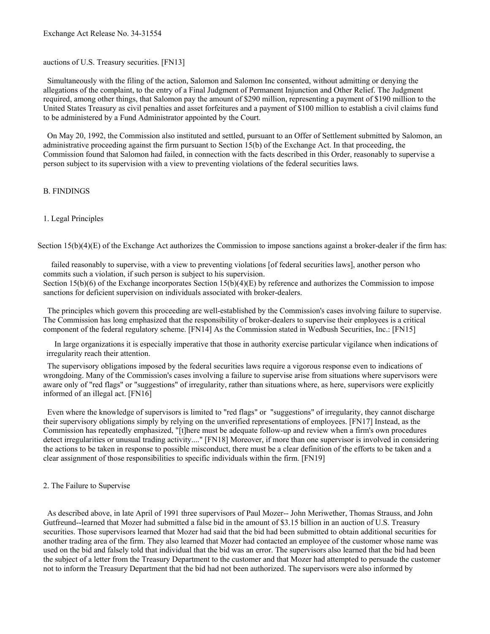# auctions of U.S. Treasury securities. [FN13]

Simultaneously with the filing of the action, Salomon and Salomon Inc consented, without admitting or denying the allegations of the complaint, to the entry of a Final Judgment of Permanent Injunction and Other Relief. The Judgment required, among other things, that Salomon pay the amount of \$290 million, representing a payment of \$190 million to the United States Treasury as civil penalties and asset forfeitures and a payment of \$100 million to establish a civil claims fund to be administered by a Fund Administrator appointed by the Court.

On May 20, 1992, the Commission also instituted and settled, pursuant to an Offer of Settlement submitted by Salomon, an administrative proceeding against the firm pursuant to Section 15(b) of the Exchange Act. In that proceeding, the Commission found that Salomon had failed, in connection with the facts described in this Order, reasonably to supervise a person subject to its supervision with a view to preventing violations of the federal securities laws.

# B. FINDINGS

# 1. Legal Principles

Section 15(b)(4)(E) of the Exchange Act authorizes the Commission to impose sanctions against a broker-dealer if the firm has:

failed reasonably to supervise, with a view to preventing violations [of federal securities laws], another person who commits such a violation, if such person is subject to his supervision. Section 15(b)(6) of the Exchange incorporates Section 15(b)(4)(E) by reference and authorizes the Commission to impose sanctions for deficient supervision on individuals associated with broker-dealers.

The principles which govern this proceeding are well-established by the Commission's cases involving failure to supervise. The Commission has long emphasized that the responsibility of broker-dealers to supervise their employees is a critical component of the federal regulatory scheme. [FN14] As the Commission stated in Wedbush Securities, Inc.: [FN15]

In large organizations it is especially imperative that those in authority exercise particular vigilance when indications of irregularity reach their attention.

The supervisory obligations imposed by the federal securities laws require a vigorous response even to indications of wrongdoing. Many of the Commission's cases involving a failure to supervise arise from situations where supervisors were aware only of "red flags" or "suggestions" of irregularity, rather than situations where, as here, supervisors were explicitly informed of an illegal act. [FN16]

Even where the knowledge of supervisors is limited to "red flags" or "suggestions" of irregularity, they cannot discharge their supervisory obligations simply by relying on the unverified representations of employees. [FN17] Instead, as the Commission has repeatedly emphasized, "[t]here must be adequate follow-up and review when a firm's own procedures detect irregularities or unusual trading activity...." [FN18] Moreover, if more than one supervisor is involved in considering the actions to be taken in response to possible misconduct, there must be a clear definition of the efforts to be taken and a clear assignment of those responsibilities to specific individuals within the firm. [FN19]

#### 2. The Failure to Supervise

As described above, in late April of 1991 three supervisors of Paul Mozer-- John Meriwether, Thomas Strauss, and John Gutfreund--learned that Mozer had submitted a false bid in the amount of \$3.15 billion in an auction of U.S. Treasury securities. Those supervisors learned that Mozer had said that the bid had been submitted to obtain additional securities for another trading area of the firm. They also learned that Mozer had contacted an employee of the customer whose name was used on the bid and falsely told that individual that the bid was an error. The supervisors also learned that the bid had been the subject of a letter from the Treasury Department to the customer and that Mozer had attempted to persuade the customer not to inform the Treasury Department that the bid had not been authorized. The supervisors were also informed by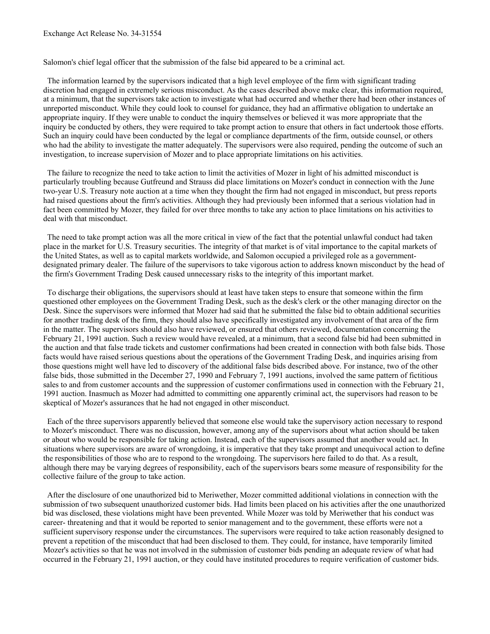Salomon's chief legal officer that the submission of the false bid appeared to be a criminal act.

The information learned by the supervisors indicated that a high level employee of the firm with significant trading discretion had engaged in extremely serious misconduct. As the cases described above make clear, this information required, at a minimum, that the supervisors take action to investigate what had occurred and whether there had been other instances of unreported misconduct. While they could look to counsel for guidance, they had an affirmative obligation to undertake an appropriate inquiry. If they were unable to conduct the inquiry themselves or believed it was more appropriate that the inquiry be conducted by others, they were required to take prompt action to ensure that others in fact undertook those efforts. Such an inquiry could have been conducted by the legal or compliance departments of the firm, outside counsel, or others who had the ability to investigate the matter adequately. The supervisors were also required, pending the outcome of such an investigation, to increase supervision of Mozer and to place appropriate limitations on his activities.

The failure to recognize the need to take action to limit the activities of Mozer in light of his admitted misconduct is particularly troubling because Gutfreund and Strauss did place limitations on Mozer's conduct in connection with the June two-year U.S. Treasury note auction at a time when they thought the firm had not engaged in misconduct, but press reports had raised questions about the firm's activities. Although they had previously been informed that a serious violation had in fact been committed by Mozer, they failed for over three months to take any action to place limitations on his activities to deal with that misconduct.

The need to take prompt action was all the more critical in view of the fact that the potential unlawful conduct had taken place in the market for U.S. Treasury securities. The integrity of that market is of vital importance to the capital markets of the United States, as well as to capital markets worldwide, and Salomon occupied a privileged role as a governmentdesignated primary dealer. The failure of the supervisors to take vigorous action to address known misconduct by the head of the firm's Government Trading Desk caused unnecessary risks to the integrity of this important market.

To discharge their obligations, the supervisors should at least have taken steps to ensure that someone within the firm questioned other employees on the Government Trading Desk, such as the desk's clerk or the other managing director on the Desk. Since the supervisors were informed that Mozer had said that he submitted the false bid to obtain additional securities for another trading desk of the firm, they should also have specifically investigated any involvement of that area of the firm in the matter. The supervisors should also have reviewed, or ensured that others reviewed, documentation concerning the February 21, 1991 auction. Such a review would have revealed, at a minimum, that a second false bid had been submitted in the auction and that false trade tickets and customer confirmations had been created in connection with both false bids. Those facts would have raised serious questions about the operations of the Government Trading Desk, and inquiries arising from those questions might well have led to discovery of the additional false bids described above. For instance, two of the other false bids, those submitted in the December 27, 1990 and February 7, 1991 auctions, involved the same pattern of fictitious sales to and from customer accounts and the suppression of customer confirmations used in connection with the February 21, 1991 auction. Inasmuch as Mozer had admitted to committing one apparently criminal act, the supervisors had reason to be skeptical of Mozer's assurances that he had not engaged in other misconduct.

Each of the three supervisors apparently believed that someone else would take the supervisory action necessary to respond to Mozer's misconduct. There was no discussion, however, among any of the supervisors about what action should be taken or about who would be responsible for taking action. Instead, each of the supervisors assumed that another would act. In situations where supervisors are aware of wrongdoing, it is imperative that they take prompt and unequivocal action to define the responsibilities of those who are to respond to the wrongdoing. The supervisors here failed to do that. As a result, although there may be varying degrees of responsibility, each of the supervisors bears some measure of responsibility for the collective failure of the group to take action.

After the disclosure of one unauthorized bid to Meriwether, Mozer committed additional violations in connection with the submission of two subsequent unauthorized customer bids. Had limits been placed on his activities after the one unauthorized bid was disclosed, these violations might have been prevented. While Mozer was told by Meriwether that his conduct was career- threatening and that it would be reported to senior management and to the government, these efforts were not a sufficient supervisory response under the circumstances. The supervisors were required to take action reasonably designed to prevent a repetition of the misconduct that had been disclosed to them. They could, for instance, have temporarily limited Mozer's activities so that he was not involved in the submission of customer bids pending an adequate review of what had occurred in the February 21, 1991 auction, or they could have instituted procedures to require verification of customer bids.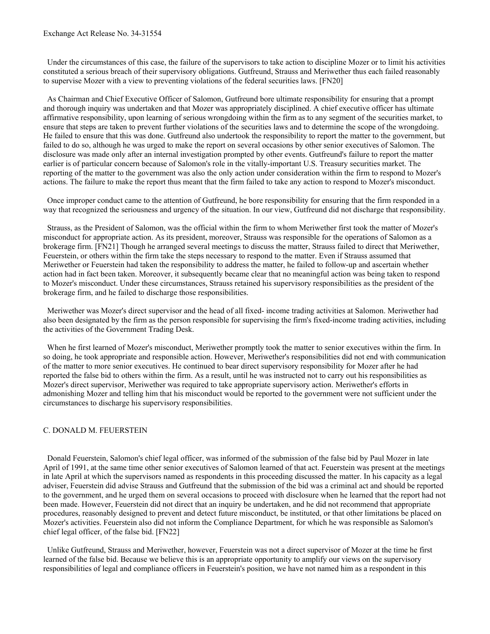Under the circumstances of this case, the failure of the supervisors to take action to discipline Mozer or to limit his activities constituted a serious breach of their supervisory obligations. Gutfreund, Strauss and Meriwether thus each failed reasonably to supervise Mozer with a view to preventing violations of the federal securities laws. [FN20]

As Chairman and Chief Executive Officer of Salomon, Gutfreund bore ultimate responsibility for ensuring that a prompt and thorough inquiry was undertaken and that Mozer was appropriately disciplined. A chief executive officer has ultimate affirmative responsibility, upon learning of serious wrongdoing within the firm as to any segment of the securities market, to ensure that steps are taken to prevent further violations of the securities laws and to determine the scope of the wrongdoing. He failed to ensure that this was done. Gutfreund also undertook the responsibility to report the matter to the government, but failed to do so, although he was urged to make the report on several occasions by other senior executives of Salomon. The disclosure was made only after an internal investigation prompted by other events. Gutfreund's failure to report the matter earlier is of particular concern because of Salomon's role in the vitally-important U.S. Treasury securities market. The reporting of the matter to the government was also the only action under consideration within the firm to respond to Mozer's actions. The failure to make the report thus meant that the firm failed to take any action to respond to Mozer's misconduct.

Once improper conduct came to the attention of Gutfreund, he bore responsibility for ensuring that the firm responded in a way that recognized the seriousness and urgency of the situation. In our view, Gutfreund did not discharge that responsibility.

Strauss, as the President of Salomon, was the official within the firm to whom Meriwether first took the matter of Mozer's misconduct for appropriate action. As its president, moreover, Strauss was responsible for the operations of Salomon as a brokerage firm. [FN21] Though he arranged several meetings to discuss the matter, Strauss failed to direct that Meriwether, Feuerstein, or others within the firm take the steps necessary to respond to the matter. Even if Strauss assumed that Meriwether or Feuerstein had taken the responsibility to address the matter, he failed to follow-up and ascertain whether action had in fact been taken. Moreover, it subsequently became clear that no meaningful action was being taken to respond to Mozer's misconduct. Under these circumstances, Strauss retained his supervisory responsibilities as the president of the brokerage firm, and he failed to discharge those responsibilities.

Meriwether was Mozer's direct supervisor and the head of all fixed- income trading activities at Salomon. Meriwether had also been designated by the firm as the person responsible for supervising the firm's fixed-income trading activities, including the activities of the Government Trading Desk.

When he first learned of Mozer's misconduct, Meriwether promptly took the matter to senior executives within the firm. In so doing, he took appropriate and responsible action. However, Meriwether's responsibilities did not end with communication of the matter to more senior executives. He continued to bear direct supervisory responsibility for Mozer after he had reported the false bid to others within the firm. As a result, until he was instructed not to carry out his responsibilities as Mozer's direct supervisor, Meriwether was required to take appropriate supervisory action. Meriwether's efforts in admonishing Mozer and telling him that his misconduct would be reported to the government were not sufficient under the circumstances to discharge his supervisory responsibilities.

# C. DONALD M. FEUERSTEIN

Donald Feuerstein, Salomon's chief legal officer, was informed of the submission of the false bid by Paul Mozer in late April of 1991, at the same time other senior executives of Salomon learned of that act. Feuerstein was present at the meetings in late April at which the supervisors named as respondents in this proceeding discussed the matter. In his capacity as a legal adviser, Feuerstein did advise Strauss and Gutfreund that the submission of the bid was a criminal act and should be reported to the government, and he urged them on several occasions to proceed with disclosure when he learned that the report had not been made. However, Feuerstein did not direct that an inquiry be undertaken, and he did not recommend that appropriate procedures, reasonably designed to prevent and detect future misconduct, be instituted, or that other limitations be placed on Mozer's activities. Feuerstein also did not inform the Compliance Department, for which he was responsible as Salomon's chief legal officer, of the false bid. [FN22]

Unlike Gutfreund, Strauss and Meriwether, however, Feuerstein was not a direct supervisor of Mozer at the time he first learned of the false bid. Because we believe this is an appropriate opportunity to amplify our views on the supervisory responsibilities of legal and compliance officers in Feuerstein's position, we have not named him as a respondent in this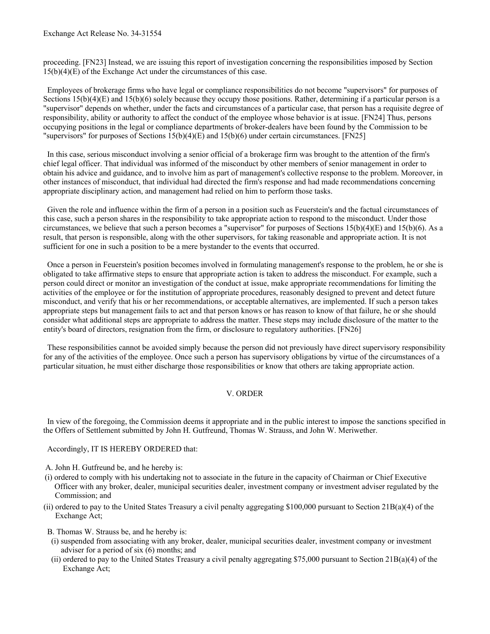proceeding. [FN23] Instead, we are issuing this report of investigation concerning the responsibilities imposed by Section 15(b)(4)(E) of the Exchange Act under the circumstances of this case.

Employees of brokerage firms who have legal or compliance responsibilities do not become "supervisors" for purposes of Sections  $15(b)(4)(E)$  and  $15(b)(6)$  solely because they occupy those positions. Rather, determining if a particular person is a "supervisor" depends on whether, under the facts and circumstances of a particular case, that person has a requisite degree of responsibility, ability or authority to affect the conduct of the employee whose behavior is at issue. [FN24] Thus, persons occupying positions in the legal or compliance departments of broker-dealers have been found by the Commission to be "supervisors" for purposes of Sections  $15(b)(4)(E)$  and  $15(b)(6)$  under certain circumstances. [FN25]

In this case, serious misconduct involving a senior official of a brokerage firm was brought to the attention of the firm's chief legal officer. That individual was informed of the misconduct by other members of senior management in order to obtain his advice and guidance, and to involve him as part of management's collective response to the problem. Moreover, in other instances of misconduct, that individual had directed the firm's response and had made recommendations concerning appropriate disciplinary action, and management had relied on him to perform those tasks.

Given the role and influence within the firm of a person in a position such as Feuerstein's and the factual circumstances of this case, such a person shares in the responsibility to take appropriate action to respond to the misconduct. Under those circumstances, we believe that such a person becomes a "supervisor" for purposes of Sections  $15(b)(4)(E)$  and  $15(b)(6)$ . As a result, that person is responsible, along with the other supervisors, for taking reasonable and appropriate action. It is not sufficient for one in such a position to be a mere bystander to the events that occurred.

Once a person in Feuerstein's position becomes involved in formulating management's response to the problem, he or she is obligated to take affirmative steps to ensure that appropriate action is taken to address the misconduct. For example, such a person could direct or monitor an investigation of the conduct at issue, make appropriate recommendations for limiting the activities of the employee or for the institution of appropriate procedures, reasonably designed to prevent and detect future misconduct, and verify that his or her recommendations, or acceptable alternatives, are implemented. If such a person takes appropriate steps but management fails to act and that person knows or has reason to know of that failure, he or she should consider what additional steps are appropriate to address the matter. These steps may include disclosure of the matter to the entity's board of directors, resignation from the firm, or disclosure to regulatory authorities. [FN26]

These responsibilities cannot be avoided simply because the person did not previously have direct supervisory responsibility for any of the activities of the employee. Once such a person has supervisory obligations by virtue of the circumstances of a particular situation, he must either discharge those responsibilities or know that others are taking appropriate action.

# V. ORDER

In view of the foregoing, the Commission deems it appropriate and in the public interest to impose the sanctions specified in the Offers of Settlement submitted by John H. Gutfreund, Thomas W. Strauss, and John W. Meriwether.

# Accordingly, IT IS HEREBY ORDERED that:

- A. John H. Gutfreund be, and he hereby is:
- (i) ordered to comply with his undertaking not to associate in the future in the capacity of Chairman or Chief Executive Officer with any broker, dealer, municipal securities dealer, investment company or investment adviser regulated by the Commission; and
- (ii) ordered to pay to the United States Treasury a civil penalty aggregating \$100,000 pursuant to Section  $21B(a)(4)$  of the Exchange Act;
- B. Thomas W. Strauss be, and he hereby is:
- (i) suspended from associating with any broker, dealer, municipal securities dealer, investment company or investment adviser for a period of six (6) months; and
- (ii) ordered to pay to the United States Treasury a civil penalty aggregating \$75,000 pursuant to Section 21B(a)(4) of the Exchange Act;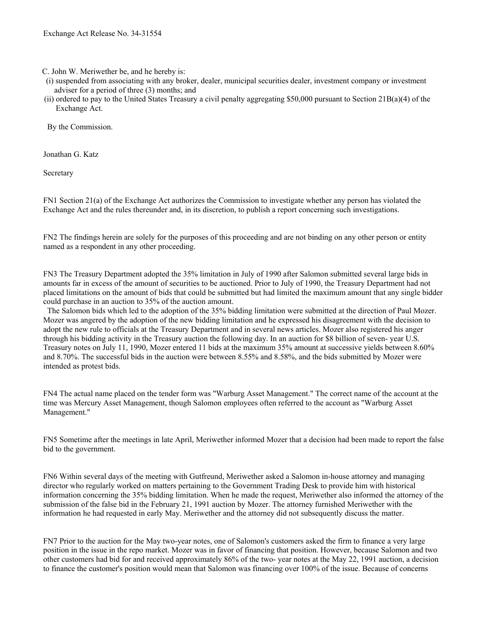C. John W. Meriwether be, and he hereby is:

- (i) suspended from associating with any broker, dealer, municipal securities dealer, investment company or investment adviser for a period of three (3) months; and
- (ii) ordered to pay to the United States Treasury a civil penalty aggregating \$50,000 pursuant to Section 21B(a)(4) of the Exchange Act.

By the Commission.

Jonathan G. Katz

**Secretary** 

FN1 Section 21(a) of the Exchange Act authorizes the Commission to investigate whether any person has violated the Exchange Act and the rules thereunder and, in its discretion, to publish a report concerning such investigations.

FN2 The findings herein are solely for the purposes of this proceeding and are not binding on any other person or entity named as a respondent in any other proceeding.

FN3 The Treasury Department adopted the 35% limitation in July of 1990 after Salomon submitted several large bids in amounts far in excess of the amount of securities to be auctioned. Prior to July of 1990, the Treasury Department had not placed limitations on the amount of bids that could be submitted but had limited the maximum amount that any single bidder could purchase in an auction to 35% of the auction amount.

The Salomon bids which led to the adoption of the 35% bidding limitation were submitted at the direction of Paul Mozer. Mozer was angered by the adoption of the new bidding limitation and he expressed his disagreement with the decision to adopt the new rule to officials at the Treasury Department and in several news articles. Mozer also registered his anger through his bidding activity in the Treasury auction the following day. In an auction for \$8 billion of seven- year U.S. Treasury notes on July 11, 1990, Mozer entered 11 bids at the maximum 35% amount at successive yields between 8.60% and 8.70%. The successful bids in the auction were between 8.55% and 8.58%, and the bids submitted by Mozer were intended as protest bids.

FN4 The actual name placed on the tender form was "Warburg Asset Management." The correct name of the account at the time was Mercury Asset Management, though Salomon employees often referred to the account as "Warburg Asset Management."

FN5 Sometime after the meetings in late April, Meriwether informed Mozer that a decision had been made to report the false bid to the government.

FN6 Within several days of the meeting with Gutfreund, Meriwether asked a Salomon in-house attorney and managing director who regularly worked on matters pertaining to the Government Trading Desk to provide him with historical information concerning the 35% bidding limitation. When he made the request, Meriwether also informed the attorney of the submission of the false bid in the February 21, 1991 auction by Mozer. The attorney furnished Meriwether with the information he had requested in early May. Meriwether and the attorney did not subsequently discuss the matter.

FN7 Prior to the auction for the May two-year notes, one of Salomon's customers asked the firm to finance a very large position in the issue in the repo market. Mozer was in favor of financing that position. However, because Salomon and two other customers had bid for and received approximately 86% of the two- year notes at the May 22, 1991 auction, a decision to finance the customer's position would mean that Salomon was financing over 100% of the issue. Because of concerns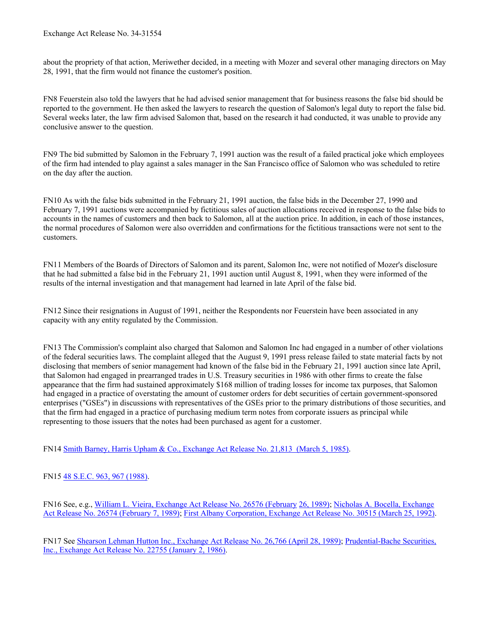about the propriety of that action, Meriwether decided, in a meeting with Mozer and several other managing directors on May 28, 1991, that the firm would not finance the customer's position.

FN8 Feuerstein also told the lawyers that he had advised senior management that for business reasons the false bid should be reported to the government. He then asked the lawyers to research the question of Salomon's legal duty to report the false bid. Several weeks later, the law firm advised Salomon that, based on the research it had conducted, it was unable to provide any conclusive answer to the question.

FN9 The bid submitted by Salomon in the February 7, 1991 auction was the result of a failed practical joke which employees of the firm had intended to play against a sales manager in the San Francisco office of Salomon who was scheduled to retire on the day after the auction.

FN10 As with the false bids submitted in the February 21, 1991 auction, the false bids in the December 27, 1990 and February 7, 1991 auctions were accompanied by fictitious sales of auction allocations received in response to the false bids to accounts in the names of customers and then back to Salomon, all at the auction price. In addition, in each of those instances, the normal procedures of Salomon were also overridden and confirmations for the fictitious transactions were not sent to the customers.

FN11 Members of the Boards of Directors of Salomon and its parent, Salomon Inc, were not notified of Mozer's disclosure that he had submitted a false bid in the February 21, 1991 auction until August 8, 1991, when they were informed of the results of the internal investigation and that management had learned in late April of the false bid.

FN12 Since their resignations in August of 1991, neither the Respondents nor Feuerstein have been associated in any capacity with any entity regulated by the Commission.

FN13 The Commission's complaint also charged that Salomon and Salomon Inc had engaged in a number of other violations of the federal securities laws. The complaint alleged that the August 9, 1991 press release failed to state material facts by not disclosing that members of senior management had known of the false bid in the February 21, 1991 auction since late April, that Salomon had engaged in prearranged trades in U.S. Treasury securities in 1986 with other firms to create the false appearance that the firm had sustained approximately \$168 million of trading losses for income tax purposes, that Salomon had engaged in a practice of overstating the amount of customer orders for debt securities of certain government-sponsored enterprises ("GSEs") in discussions with representatives of the GSEs prior to the primary distributions of those securities, and that the firm had engaged in a practice of purchasing medium term notes from corporate issuers as principal while representing to those issuers that the notes had been purchased as agent for a customer.

FN14 Smith Barney, Harris Upham & Co., Exchange Act Release No. 21,813 (March 5, 1985).

FN15 48 S.E.C. 963, 967 (1988).

FN16 See, e.g., William L. Vieira, Exchange Act Release No. 26576 (February 26, 1989); Nicholas A. Bocella, Exchange Act Release No. 26574 (February 7, 1989); First Albany Corporation, Exchange Act Release No. 30515 (March 25, 1992).

FN17 See Shearson Lehman Hutton Inc., Exchange Act Release No. 26,766 (April 28, 1989); Prudential-Bache Securities, Inc., Exchange Act Release No. 22755 (January 2, 1986).